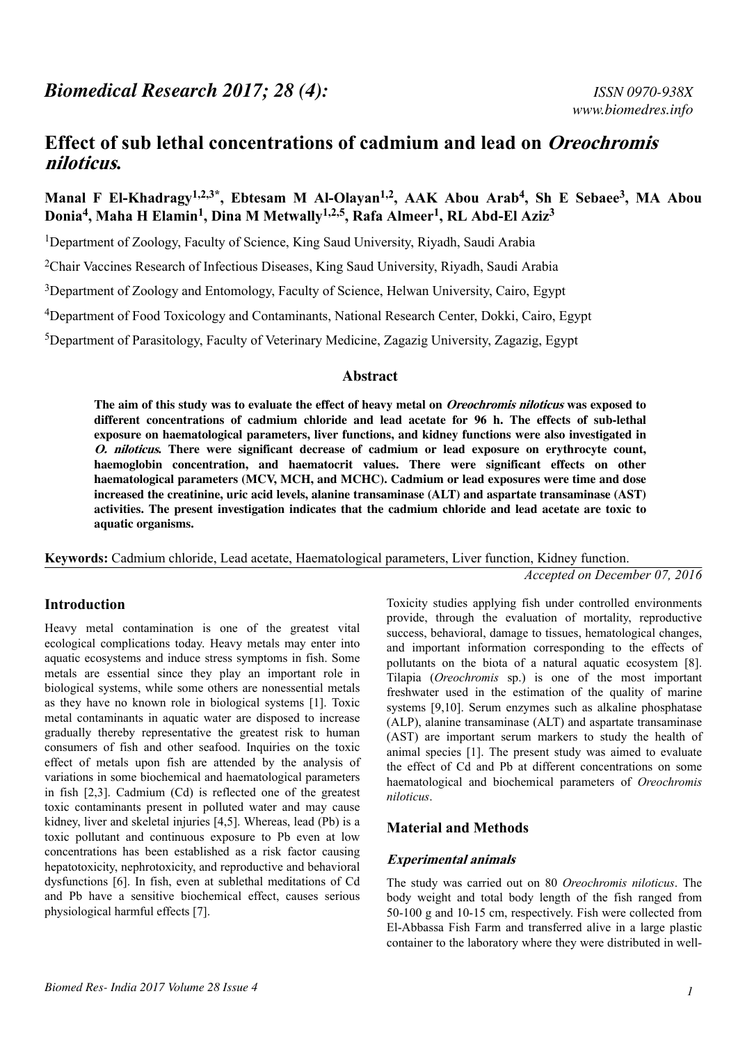# **Effect of sub lethal concentrations of cadmium and lead on Oreochromis niloticus.**

# **Manal F El-Khadragy1,2,3\*, Ebtesam M Al-Olayan1,2, AAK Abou Arab<sup>4</sup> , Sh E Sebaee<sup>3</sup> , MA Abou Donia<sup>4</sup> , Maha H Elamin<sup>1</sup> , Dina M Metwally1,2,5, Rafa Almeer<sup>1</sup> , RL Abd-El Aziz<sup>3</sup>**

<sup>1</sup>Department of Zoology, Faculty of Science, King Saud University, Riyadh, Saudi Arabia

<sup>2</sup>Chair Vaccines Research of Infectious Diseases, King Saud University, Riyadh, Saudi Arabia

<sup>3</sup>Department of Zoology and Entomology, Faculty of Science, Helwan University, Cairo, Egypt

<sup>4</sup>Department of Food Toxicology and Contaminants, National Research Center, Dokki, Cairo, Egypt

<sup>5</sup>Department of Parasitology, Faculty of Veterinary Medicine, Zagazig University, Zagazig, Egypt

#### **Abstract**

**The aim of this study was to evaluate the effect of heavy metal on Oreochromis niloticus was exposed to different concentrations of cadmium chloride and lead acetate for 96 h. The effects of sub-lethal exposure on haematological parameters, liver functions, and kidney functions were also investigated in O. niloticus. There were significant decrease of cadmium or lead exposure on erythrocyte count, haemoglobin concentration, and haematocrit values. There were significant effects on other haematological parameters (MCV, MCH, and MCHC). Cadmium or lead exposures were time and dose increased the creatinine, uric acid levels, alanine transaminase (ALT) and aspartate transaminase (AST) activities. The present investigation indicates that the cadmium chloride and lead acetate are toxic to aquatic organisms.**

**Keywords:** Cadmium chloride, Lead acetate, Haematological parameters, Liver function, Kidney function.

*Accepted on December 07, 2016*

### **Introduction**

Heavy metal contamination is one of the greatest vital ecological complications today. Heavy metals may enter into aquatic ecosystems and induce stress symptoms in fish. Some metals are essential since they play an important role in biological systems, while some others are nonessential metals as they have no known role in biological systems [1]. Toxic metal contaminants in aquatic water are disposed to increase gradually thereby representative the greatest risk to human consumers of fish and other seafood. Inquiries on the toxic effect of metals upon fish are attended by the analysis of variations in some biochemical and haematological parameters in fish [2,3]. Cadmium (Cd) is reflected one of the greatest toxic contaminants present in polluted water and may cause kidney, liver and skeletal injuries [4,5]. Whereas, lead (Pb) is a toxic pollutant and continuous exposure to Pb even at low concentrations has been established as a risk factor causing hepatotoxicity, nephrotoxicity, and reproductive and behavioral dysfunctions [6]. In fish, even at sublethal meditations of Cd and Pb have a sensitive biochemical effect, causes serious physiological harmful effects [7].

Toxicity studies applying fish under controlled environments provide, through the evaluation of mortality, reproductive success, behavioral, damage to tissues, hematological changes, and important information corresponding to the effects of pollutants on the biota of a natural aquatic ecosystem [8]. Tilapia (*Oreochromis* sp.) is one of the most important freshwater used in the estimation of the quality of marine systems [9,10]. Serum enzymes such as alkaline phosphatase (ALP), alanine transaminase (ALT) and aspartate transaminase (AST) are important serum markers to study the health of animal species [1]. The present study was aimed to evaluate the effect of Cd and Pb at different concentrations on some haematological and biochemical parameters of *Oreochromis niloticus*.

### **Material and Methods**

#### **Experimental animals**

The study was carried out on 80 *Oreochromis niloticus*. The body weight and total body length of the fish ranged from 50-100 g and 10-15 cm, respectively. Fish were collected from El-Abbassa Fish Farm and transferred alive in a large plastic container to the laboratory where they were distributed in well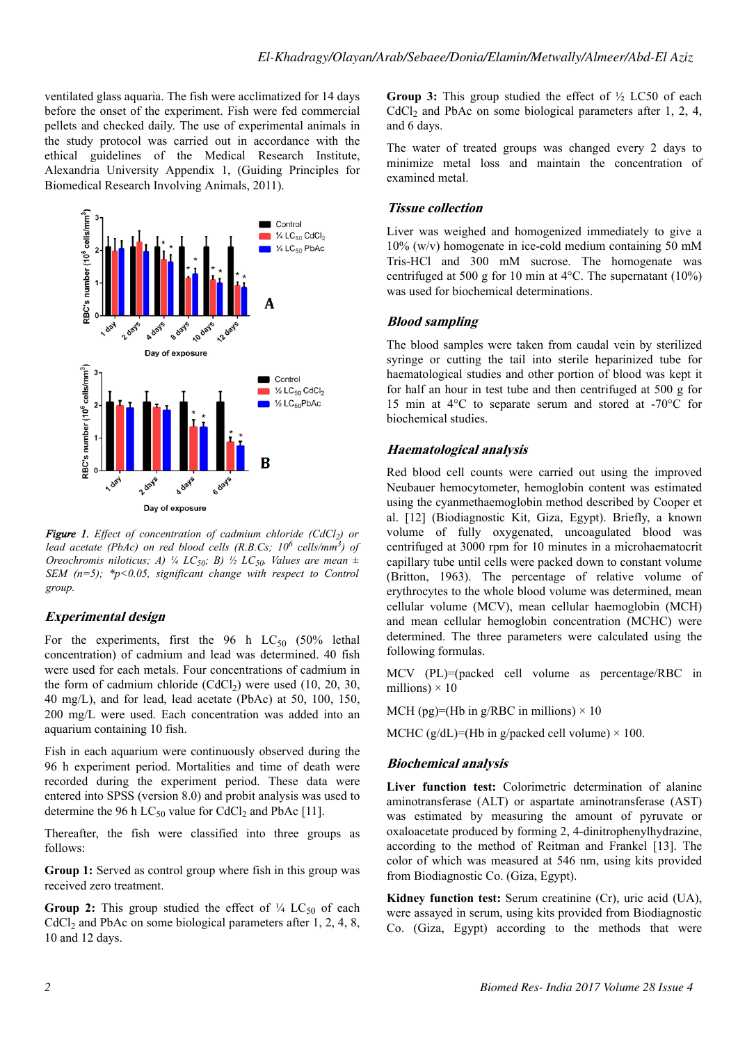ventilated glass aquaria. The fish were acclimatized for 14 days before the onset of the experiment. Fish were fed commercial pellets and checked daily. The use of experimental animals in the study protocol was carried out in accordance with the ethical guidelines of the Medical Research Institute, Alexandria University Appendix 1, (Guiding Principles for Biomedical Research Involving Animals, 2011).



*Figure 1. Effect of concentration of cadmium chloride (CdCl<sup>2</sup> ) or lead acetate (PbAc) on red blood cells (R.B.Cs; 10<sup>6</sup> cells/mm<sup>3</sup> ) of Oreochromis niloticus; A)*  $\frac{1}{4}$  *LC*<sub>50</sub>*; B)*  $\frac{1}{2}$  LC<sub>50</sub>*. Values are mean*  $\pm$ *SEM (n=5); \*p<0.05, significant change with respect to Control group.*

### **Experimental design**

For the experiments, first the 96 h  $LC_{50}$  (50% lethal concentration) of cadmium and lead was determined. 40 fish were used for each metals. Four concentrations of cadmium in the form of cadmium chloride  $(CdCl<sub>2</sub>)$  were used  $(10, 20, 30, ...)$ 40 mg/L), and for lead, lead acetate (PbAc) at 50, 100, 150, 200 mg/L were used. Each concentration was added into an aquarium containing 10 fish.

Fish in each aquarium were continuously observed during the 96 h experiment period. Mortalities and time of death were recorded during the experiment period. These data were entered into SPSS (version 8.0) and probit analysis was used to determine the 96 h  $LC_{50}$  value for CdCl<sub>2</sub> and PbAc [11].

Thereafter, the fish were classified into three groups as follows:

**Group 1:** Served as control group where fish in this group was received zero treatment.

**Group 2:** This group studied the effect of  $\frac{1}{4}$  LC<sub>50</sub> of each  $CdCl<sub>2</sub>$  and PbAc on some biological parameters after 1, 2, 4, 8, 10 and 12 days.

**Group 3:** This group studied the effect of ½ LC50 of each  $CdCl<sub>2</sub>$  and PbAc on some biological parameters after 1, 2, 4, and 6 days.

The water of treated groups was changed every 2 days to minimize metal loss and maintain the concentration of examined metal.

### **Tissue collection**

Liver was weighed and homogenized immediately to give a 10% (w/v) homogenate in ice-cold medium containing 50 mM Tris-HCl and 300 mM sucrose. The homogenate was centrifuged at 500 g for 10 min at 4°C. The supernatant (10%) was used for biochemical determinations.

# **Blood sampling**

The blood samples were taken from caudal vein by sterilized syringe or cutting the tail into sterile heparinized tube for haematological studies and other portion of blood was kept it for half an hour in test tube and then centrifuged at 500 g for 15 min at 4°C to separate serum and stored at -70°C for biochemical studies.

### **Haematological analysis**

Red blood cell counts were carried out using the improved Neubauer hemocytometer, hemoglobin content was estimated using the cyanmethaemoglobin method described by Cooper et al. [12] (Biodiagnostic Kit, Giza, Egypt). Briefly, a known volume of fully oxygenated, uncoagulated blood was centrifuged at 3000 rpm for 10 minutes in a microhaematocrit capillary tube until cells were packed down to constant volume (Britton, 1963). The percentage of relative volume of erythrocytes to the whole blood volume was determined, mean cellular volume (MCV), mean cellular haemoglobin (MCH) and mean cellular hemoglobin concentration (MCHC) were determined. The three parameters were calculated using the following formulas.

MCV (PL)=(packed cell volume as percentage/RBC in millions)  $\times$  10

MCH (pg)=(Hb in g/RBC in millions)  $\times$  10

MCHC ( $g/dL$ )=(Hb in g/packed cell volume)  $\times$  100.

# **Biochemical analysis**

**Liver function test:** Colorimetric determination of alanine aminotransferase (ALT) or aspartate aminotransferase (AST) was estimated by measuring the amount of pyruvate or oxaloacetate produced by forming 2, 4-dinitrophenylhydrazine, according to the method of Reitman and Frankel [13]. The color of which was measured at 546 nm, using kits provided from Biodiagnostic Co. (Giza, Egypt).

**Kidney function test:** Serum creatinine (Cr), uric acid (UA), were assayed in serum, using kits provided from Biodiagnostic Co. (Giza, Egypt) according to the methods that were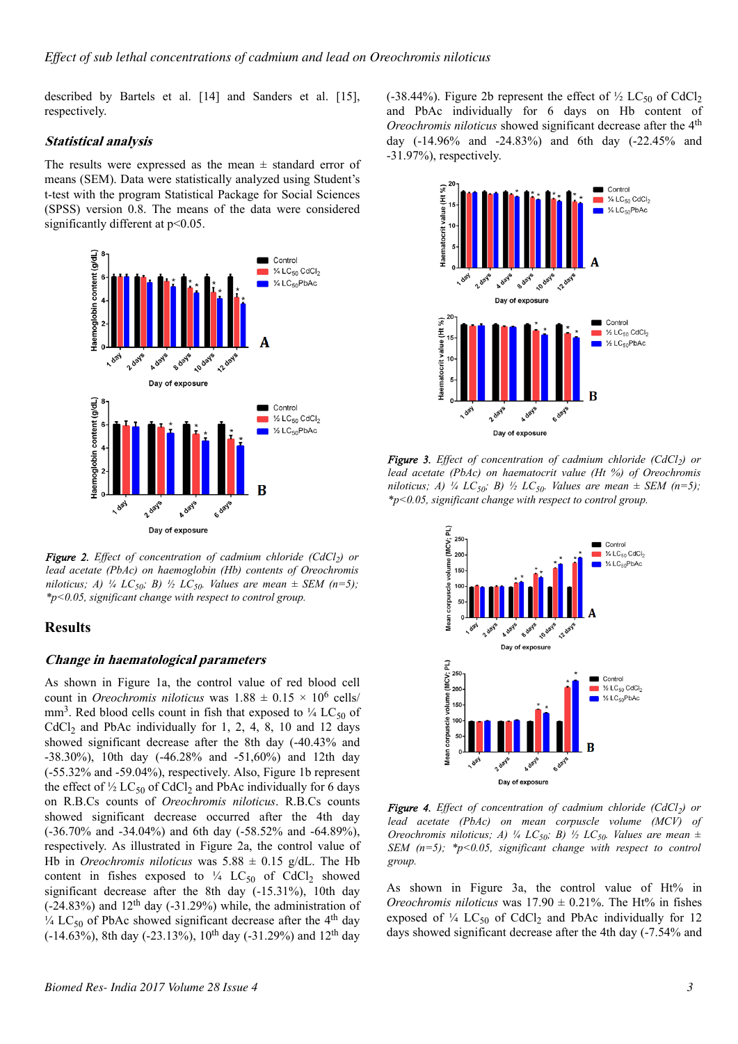described by Bartels et al. [14] and Sanders et al. [15], respectively.

#### **Statistical analysis**

The results were expressed as the mean  $\pm$  standard error of means (SEM). Data were statistically analyzed using Student's t-test with the program Statistical Package for Social Sciences (SPSS) version 0.8. The means of the data were considered significantly different at  $p<0.05$ .



*Figure 2. Effect of concentration of cadmium chloride (CdCl<sup>2</sup> ) or lead acetate (PbAc) on haemoglobin (Hb) contents of Oreochromis niloticus; A) ¼ LC*<sub>50</sub>*; B) ½ LC*<sub>50</sub>*. Values are mean*  $\pm$  *SEM* (n=5)*; \*p<0.05, significant change with respect to control group.*

### **Results**

#### **Change in haematological parameters**

As shown in Figure 1a, the control value of red blood cell count in *Oreochromis niloticus* was  $1.88 \pm 0.15 \times 10^6$  cells/ mm<sup>3</sup>. Red blood cells count in fish that exposed to  $\frac{1}{4}$  LC<sub>50</sub> of  $CdCl<sub>2</sub>$  and PbAc individually for 1, 2, 4, 8, 10 and 12 days showed significant decrease after the 8th day (-40.43% and -38.30%), 10th day (-46.28% and -51,60%) and 12th day (-55.32% and -59.04%), respectively. Also, Figure 1b represent the effect of  $\frac{1}{2}$  LC<sub>50</sub> of CdCl<sub>2</sub> and PbAc individually for 6 days on R.B.Cs counts of *Oreochromis niloticus*. R.B.Cs counts showed significant decrease occurred after the 4th day (-36.70% and -34.04%) and 6th day (-58.52% and -64.89%), respectively. As illustrated in Figure 2a, the control value of Hb in *Oreochromis niloticus* was  $5.88 \pm 0.15$  g/dL. The Hb content in fishes exposed to  $\frac{1}{4}$  LC<sub>50</sub> of CdCl<sub>2</sub> showed significant decrease after the 8th day (-15.31%), 10th day  $(-24.83%)$  and  $12<sup>th</sup>$  day  $(-31.29%)$  while, the administration of  $\frac{1}{4}$  LC<sub>50</sub> of PbAc showed significant decrease after the 4<sup>th</sup> day  $(-14.63\%)$ , 8th day (-23.13%), 10<sup>th</sup> day (-31.29%) and 12<sup>th</sup> day (-38.44%). Figure 2b represent the effect of  $\frac{1}{2}$  LC<sub>50</sub> of CdCl<sub>2</sub> and PbAc individually for 6 days on Hb content of *Oreochromis niloticus* showed significant decrease after the 4<sup>th</sup> day (-14.96% and -24.83%) and 6th day (-22.45% and -31.97%), respectively.



*Figure 3. Effect of concentration of cadmium chloride (CdCl<sup>2</sup> ) or lead acetate (PbAc) on haematocrit value (Ht %) of Oreochromis niloticus; A)*  $\frac{1}{4}$   $LC_{50}$ ; B)  $\frac{1}{2}$   $LC_{50}$ . Values are mean  $\pm$  SEM (n=5); *\*p<0.05, significant change with respect to control group.*



*Figure 4. Effect of concentration of cadmium chloride (CdCl<sup>2</sup> ) or lead acetate (PbAc) on mean corpuscle volume (MCV) of Oreochromis niloticus; A) ¼ LC*<sub>50</sub>*; B) ½ LC*<sub>50</sub>*. Values are mean*  $\pm$ *SEM (n=5); \*p<0.05, significant change with respect to control group.*

As shown in Figure 3a, the control value of Ht% in *Oreochromis niloticus* was  $17.90 \pm 0.21\%$ . The Ht% in fishes exposed of  $\frac{1}{4}$  LC<sub>50</sub> of CdCl<sub>2</sub> and PbAc individually for 12 days showed significant decrease after the 4th day (-7.54% and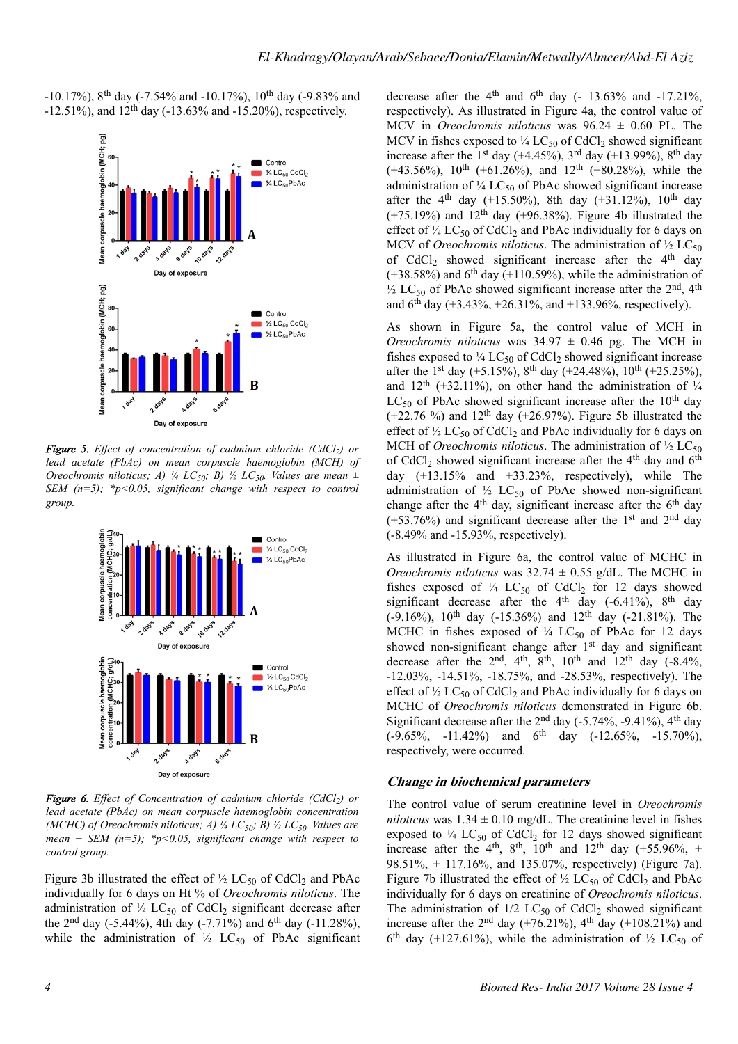-10.17%), 8th day (-7.54% and -10.17%), 10th day (-9.83% and  $-12.51\%$ ), and  $12<sup>th</sup>$  day ( $-13.63\%$  and  $-15.20\%$ ), respectively.



*Figure 5. Effect of concentration of cadmium chloride (CdCl<sup>2</sup> ) or lead acetate (PbAc) on mean corpuscle haemoglobin (MCH) of Oreochromis niloticus; A) ¼ LC*<sub>50</sub>*; B) ½ LC*<sub>50</sub>*. Values are mean*  $\pm$ *SEM (n=5); \*p<0.05, significant change with respect to control group.*



*Figure 6. Effect of Concentration of cadmium chloride (CdCl<sup>2</sup> ) or lead acetate (PbAc) on mean corpuscle haemoglobin concentration (MCHC) of Oreochromis niloticus; A) ¼ LC50; B) ½ LC50. Values are mean*  $\pm$  *SEM* (*n*=5); \**p*<0.05, *significant change with respect to control group.*

Figure 3b illustrated the effect of  $\frac{1}{2}$  LC<sub>50</sub> of CdCl<sub>2</sub> and PbAc individually for 6 days on Ht % of *Oreochromis niloticus*. The administration of  $\frac{1}{2}$  LC<sub>50</sub> of CdCl<sub>2</sub> significant decrease after the  $2<sup>nd</sup>$  day (-5.44%), 4th day (-7.71%) and 6<sup>th</sup> day (-11.28%), while the administration of  $\frac{1}{2}$  LC<sub>50</sub> of PbAc significant decrease after the  $4<sup>th</sup>$  and  $6<sup>th</sup>$  day (- 13.63% and -17.21%, respectively). As illustrated in Figure 4a, the control value of MCV in *Oreochromis niloticus* was 96.24 ± 0.60 PL. The MCV in fishes exposed to  $\frac{1}{4}$  LC<sub>50</sub> of CdCl<sub>2</sub> showed significant increase after the 1<sup>st</sup> day (+4.45%), 3<sup>rd</sup> day (+13.99%), 8<sup>th</sup> day (+43.56%),  $10^{th}$  (+61.26%), and  $12^{th}$  (+80.28%), while the administration of  $\frac{1}{4}$  LC<sub>50</sub> of PbAc showed significant increase after the 4<sup>th</sup> day (+15.50%), 8th day (+31.12%), 10<sup>th</sup> day  $(+75.19%)$  and  $12<sup>th</sup>$  day  $(+96.38%)$ . Figure 4b illustrated the effect of  $\frac{1}{2}$  LC<sub>50</sub> of CdCl<sub>2</sub> and PbAc individually for 6 days on MCV of *Oreochromis niloticus*. The administration of  $\frac{1}{2}$  LC<sub>50</sub> of  $CdCl<sub>2</sub>$  showed significant increase after the 4<sup>th</sup> day  $(+38.58%)$  and 6<sup>th</sup> day  $(+110.59%)$ , while the administration of  $\frac{1}{2}$  LC<sub>50</sub> of PbAc showed significant increase after the 2<sup>nd</sup>, 4<sup>th</sup> and  $6^{th}$  day (+3.43%, +26.31%, and +133.96%, respectively).

As shown in Figure 5a, the control value of MCH in *Oreochromis niloticus* was  $34.97 \pm 0.46$  pg. The MCH in fishes exposed to  $\frac{1}{4}$  LC<sub>50</sub> of CdCl<sub>2</sub> showed significant increase after the 1<sup>st</sup> day (+5.15%), 8<sup>th</sup> day (+24.48%), 10<sup>th</sup> (+25.25%), and  $12<sup>th</sup>$  (+32.11%), on other hand the administration of  $\frac{1}{4}$ LC<sub>50</sub> of PbAc showed significant increase after the  $10<sup>th</sup>$  day  $(+22.76\%)$  and  $12<sup>th</sup>$  day  $(+26.97%)$ . Figure 5b illustrated the effect of  $\frac{1}{2}$  LC<sub>50</sub> of CdCl<sub>2</sub> and PbAc individually for 6 days on MCH of *Oreochromis niloticus*. The administration of  $\frac{1}{2}$  LC<sub>50</sub> of CdCl<sub>2</sub> showed significant increase after the  $4<sup>th</sup>$  day and  $6<sup>th</sup>$ day  $(+13.15\%$  and  $+33.23\%$ , respectively), while The administration of  $\frac{1}{2}$  LC<sub>50</sub> of PbAc showed non-significant change after the  $4<sup>th</sup>$  day, significant increase after the  $6<sup>th</sup>$  day  $(+53.76%)$  and significant decrease after the 1<sup>st</sup> and 2<sup>nd</sup> day (-8.49% and -15.93%, respectively).

As illustrated in Figure 6a, the control value of MCHC in *Oreochromis niloticus* was  $32.74 \pm 0.55$  g/dL. The MCHC in fishes exposed of  $\frac{1}{4}$  LC<sub>50</sub> of CdCl<sub>2</sub> for 12 days showed significant decrease after the  $4<sup>th</sup>$  day (-6.41%),  $8<sup>th</sup>$  day (-9.16%),  $10^{th}$  day (-15.36%) and  $12^{th}$  day (-21.81%). The MCHC in fishes exposed of  $\frac{1}{4}$  LC<sub>50</sub> of PbAc for 12 days showed non-significant change after 1<sup>st</sup> day and significant decrease after the  $2<sup>nd</sup>$ ,  $4<sup>th</sup>$ ,  $8<sup>th</sup>$ ,  $10<sup>th</sup>$  and  $12<sup>th</sup>$  day  $(-8.4\%$ , -12.03%, -14.51%, -18.75%, and -28.53%, respectively). The effect of  $\frac{1}{2}$  LC<sub>50</sub> of CdCl<sub>2</sub> and PbAc individually for 6 days on MCHC of *Oreochromis niloticus* demonstrated in Figure 6b. Significant decrease after the  $2<sup>nd</sup>$  day (-5.74%, -9.41%), 4<sup>th</sup> day  $(-9.65\%, -11.42\%)$  and  $6^{th}$  day  $(-12.65\%, -15.70\%),$ respectively, were occurred.

#### **Change in biochemical parameters**

The control value of serum creatinine level in *Oreochromis niloticus* was  $1.34 \pm 0.10$  mg/dL. The creatinine level in fishes exposed to  $\frac{1}{4}$  LC<sub>50</sub> of CdCl<sub>2</sub> for 12 days showed significant increase after the 4<sup>th</sup>, 8<sup>th</sup>, 10<sup>th</sup> and 12<sup>th</sup> day (+55.96%, + 98.51%, + 117.16%, and 135.07%, respectively) (Figure 7a). Figure 7b illustrated the effect of  $\frac{1}{2}$  LC<sub>50</sub> of CdCl<sub>2</sub> and PbAc individually for 6 days on creatinine of *Oreochromis niloticus*. The administration of  $1/2$  LC<sub>50</sub> of CdCl<sub>2</sub> showed significant increase after the  $2<sup>nd</sup>$  day (+76.21%), 4<sup>th</sup> day (+108.21%) and  $6<sup>th</sup>$  day (+127.61%), while the administration of  $\frac{1}{2}$  LC<sub>50</sub> of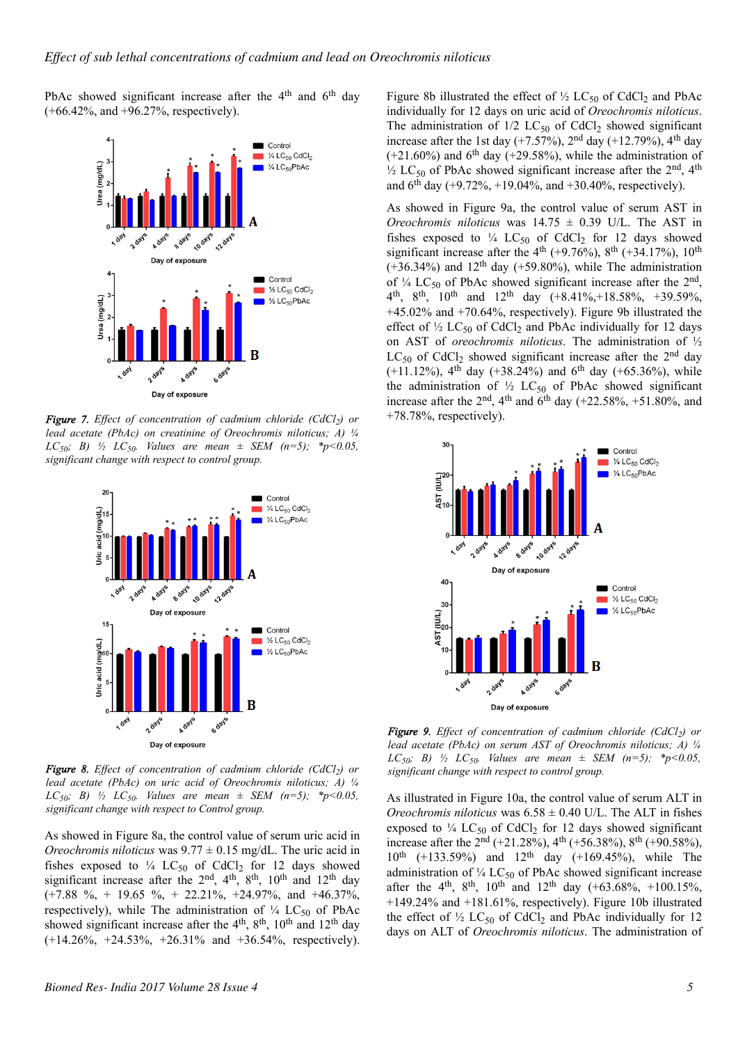PbAc showed significant increase after the 4<sup>th</sup> and 6<sup>th</sup> day  $(+66.42\%$ , and  $+96.27\%$ , respectively).



*Figure 7. Effect of concentration of cadmium chloride (CdCl<sup>2</sup> ) or lead acetate (PbAc) on creatinine of Oreochromis niloticus; A) ¼ LC*<sub>50</sub>*; B*)  $\frac{1}{2}$  *LC*<sub>50</sub>*. Values are mean*  $\pm$  *SEM* (*n*=5)*;*  $*$ *p*<0.05*, significant change with respect to control group.*



*Figure 8. Effect of concentration of cadmium chloride (CdCl<sup>2</sup> ) or lead acetate (PbAc) on uric acid of Oreochromis niloticus; A) ¼ LC*<sub>50</sub>*; B*)  $\frac{1}{2}$  *LC*<sub>50</sub>*. Values are mean*  $\pm$  *SEM* (*n*=5)*;* \**p*<0.05*, significant change with respect to Control group.*

As showed in Figure 8a, the control value of serum uric acid in *Oreochromis niloticus* was  $9.77 \pm 0.15$  mg/dL. The uric acid in fishes exposed to  $\frac{1}{4}$  LC<sub>50</sub> of CdCl<sub>2</sub> for 12 days showed significant increase after the  $2<sup>nd</sup>$ ,  $4<sup>th</sup>$ ,  $8<sup>th</sup>$ ,  $10<sup>th</sup>$  and  $12<sup>th</sup>$  day  $(+7.88 \degree\% + 19.65 \degree\% + 22.21\% + 24.97\%$ , and  $+46.37\%$ , respectively), while The administration of  $\frac{1}{4}$  LC<sub>50</sub> of PbAc showed significant increase after the  $4<sup>th</sup>$ ,  $8<sup>th</sup>$ ,  $10<sup>th</sup>$  and  $12<sup>th</sup>$  day  $(+14.26\%, +24.53\%, +26.31\% \text{ and } +36.54\%, \text{ respectively}).$ 

Figure 8b illustrated the effect of  $\frac{1}{2}$  LC<sub>50</sub> of CdCl<sub>2</sub> and PbAc individually for 12 days on uric acid of *Oreochromis niloticus*. The administration of  $1/2$  LC<sub>50</sub> of CdCl<sub>2</sub> showed significant increase after the 1st day  $(+7.57%)$ ,  $2<sup>nd</sup>$  day  $(+12.79%)$ ,  $4<sup>th</sup>$  day  $(+21.60%)$  and 6<sup>th</sup> day  $(+29.58%)$ , while the administration of  $\frac{1}{2}$  LC<sub>50</sub> of PbAc showed significant increase after the 2<sup>nd</sup>, 4<sup>th</sup> and  $6^{th}$  day (+9.72%, +19.04%, and +30.40%, respectively).

As showed in Figure 9a, the control value of serum AST in *Oreochromis niloticus* was  $14.75 \pm 0.39$  U/L. The AST in fishes exposed to  $\frac{1}{4}$  LC<sub>50</sub> of CdCl<sub>2</sub> for 12 days showed significant increase after the  $4^{th}$  (+9.76%),  $8^{th}$  (+34.17%),  $10^{th}$  $(+36.34\%)$  and  $12<sup>th</sup>$  day  $(+59.80\%)$ , while The administration of  $\frac{1}{4}$  LC<sub>50</sub> of PbAc showed significant increase after the 2<sup>nd</sup>,  $4<sup>th</sup>$ ,  $8<sup>th</sup>$ ,  $10<sup>th</sup>$  and  $12<sup>th</sup>$  day  $(+8.41\%, +18.58\%, +39.59\%,$ +45.02% and +70.64%, respectively). Figure 9b illustrated the effect of  $\frac{1}{2}$  LC<sub>50</sub> of CdCl<sub>2</sub> and PbAc individually for 12 days on AST of *oreochromis niloticus*. The administration of ½  $LC_{50}$  of CdCl<sub>2</sub> showed significant increase after the 2<sup>nd</sup> day (+11.12%), 4<sup>th</sup> day (+38.24%) and 6<sup>th</sup> day (+65.36%), while the administration of  $\frac{1}{2}$  LC<sub>50</sub> of PbAc showed significant increase after the  $2<sup>nd</sup>$ ,  $4<sup>th</sup>$  and  $6<sup>th</sup>$  day (+22.58%, +51.80%, and +78.78%, respectively).



*Figure 9. Effect of concentration of cadmium chloride (CdCl<sup>2</sup> ) or lead acetate (PbAc) on serum AST of Oreochromis niloticus; A) ¼ LC*<sub>50</sub>*; B*)  $\frac{1}{2}$  *LC*<sub>50</sub>*. Values are mean*  $\pm$  *SEM* (*n*=5)*;*  $\frac{*}{p}$   $\lt$ 0.05*, significant change with respect to control group.*

As illustrated in Figure 10a, the control value of serum ALT in *Oreochromis niloticus* was  $6.58 \pm 0.40$  U/L. The ALT in fishes exposed to  $\frac{1}{4}$  LC<sub>50</sub> of CdCl<sub>2</sub> for 12 days showed significant increase after the  $2^{nd}$  (+21.28%), 4<sup>th</sup> (+56.38%), 8<sup>th</sup> (+90.58%),  $10^{th}$  (+133.59%) and  $12^{th}$  day (+169.45%), while The administration of  $\frac{1}{4}$  LC<sub>50</sub> of PbAc showed significant increase after the 4<sup>th</sup>, 8<sup>th</sup>, 10<sup>th</sup> and 12<sup>th</sup> day (+63.68%, +100.15%, +149.24% and +181.61%, respectively). Figure 10b illustrated the effect of  $\frac{1}{2}$  LC<sub>50</sub> of CdCl<sub>2</sub> and PbAc individually for 12 days on ALT of *Oreochromis niloticus*. The administration of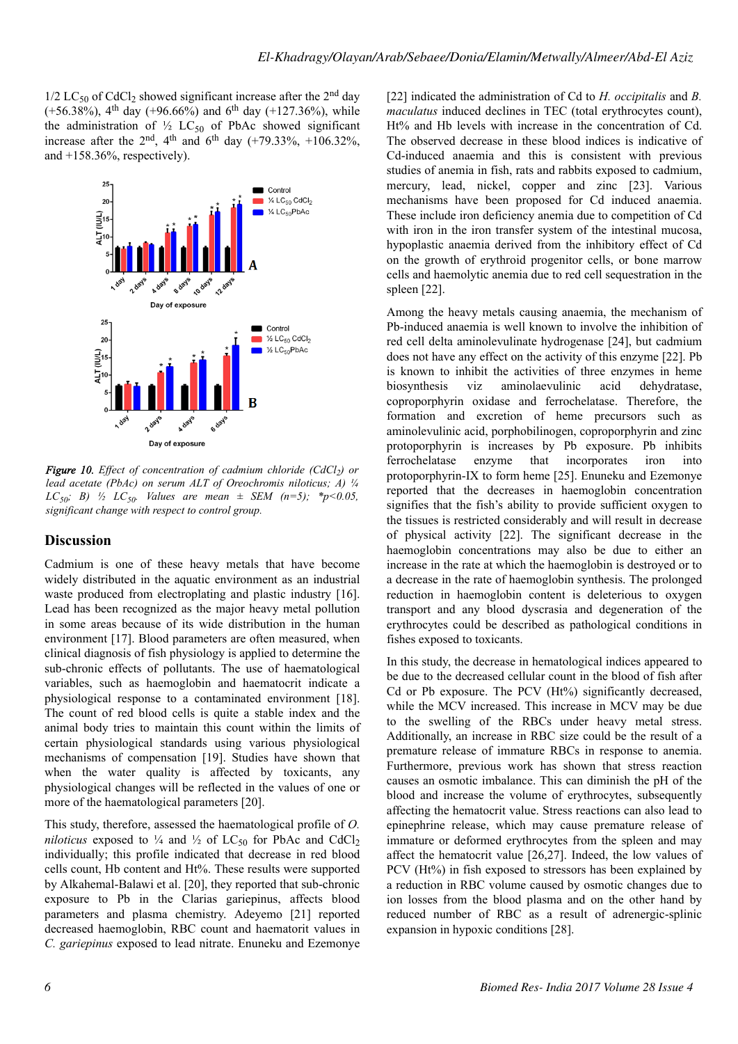$1/2$  LC<sub>50</sub> of CdCl<sub>2</sub> showed significant increase after the 2<sup>nd</sup> day  $(+56.38\%)$ , 4<sup>th</sup> day  $(+96.66\%)$  and 6<sup>th</sup> day  $(+127.36\%)$ , while the administration of  $\frac{1}{2}$  LC<sub>50</sub> of PbAc showed significant increase after the  $2^{nd}$ ,  $4^{th}$  and  $6^{th}$  day  $(+79.33\%, +106.32\%)$ and +158.36%, respectively).



*Figure 10. Effect of concentration of cadmium chloride (CdCl<sup>2</sup> ) or lead acetate (PbAc) on serum ALT of Oreochromis niloticus; A) ¼ LC*<sub>50</sub>*; B*)  $\frac{1}{2}$  *LC*<sub>50</sub>*. Values are mean*  $\pm$  *SEM* (*n*=5)*;*  $*$ *p*<0.05*, significant change with respect to control group.*

# **Discussion**

Cadmium is one of these heavy metals that have become widely distributed in the aquatic environment as an industrial waste produced from electroplating and plastic industry [16]. Lead has been recognized as the major heavy metal pollution in some areas because of its wide distribution in the human environment [17]. Blood parameters are often measured, when clinical diagnosis of fish physiology is applied to determine the sub-chronic effects of pollutants. The use of haematological variables, such as haemoglobin and haematocrit indicate a physiological response to a contaminated environment [18]. The count of red blood cells is quite a stable index and the animal body tries to maintain this count within the limits of certain physiological standards using various physiological mechanisms of compensation [19]. Studies have shown that when the water quality is affected by toxicants, any physiological changes will be reflected in the values of one or more of the haematological parameters [20].

This study, therefore, assessed the haematological profile of *O. niloticus* exposed to  $\frac{1}{4}$  and  $\frac{1}{2}$  of LC<sub>50</sub> for PbAc and CdCl<sub>2</sub> individually; this profile indicated that decrease in red blood cells count, Hb content and Ht%. These results were supported by Alkahemal-Balawi et al. [20], they reported that sub-chronic exposure to Pb in the Clarias gariepinus, affects blood parameters and plasma chemistry. Adeyemo [21] reported decreased haemoglobin, RBC count and haematorit values in *C. gariepinus* exposed to lead nitrate. Enuneku and Ezemonye [22] indicated the administration of Cd to *H. occipitalis* and *B. maculatus* induced declines in TEC (total erythrocytes count), Ht% and Hb levels with increase in the concentration of Cd. The observed decrease in these blood indices is indicative of Cd-induced anaemia and this is consistent with previous studies of anemia in fish, rats and rabbits exposed to cadmium, mercury, lead, nickel, copper and zinc [23]. Various mechanisms have been proposed for Cd induced anaemia. These include iron deficiency anemia due to competition of Cd with iron in the iron transfer system of the intestinal mucosa, hypoplastic anaemia derived from the inhibitory effect of Cd on the growth of erythroid progenitor cells, or bone marrow cells and haemolytic anemia due to red cell sequestration in the spleen [22].

Among the heavy metals causing anaemia, the mechanism of Pb-induced anaemia is well known to involve the inhibition of red cell delta aminolevulinate hydrogenase [24], but cadmium does not have any effect on the activity of this enzyme [22]. Pb is known to inhibit the activities of three enzymes in heme biosynthesis viz aminolaevulinic acid dehydratase, coproporphyrin oxidase and ferrochelatase. Therefore, the formation and excretion of heme precursors such as aminolevulinic acid, porphobilinogen, coproporphyrin and zinc protoporphyrin is increases by Pb exposure. Pb inhibits ferrochelatase enzyme that incorporates iron into protoporphyrin-IX to form heme [25]. Enuneku and Ezemonye reported that the decreases in haemoglobin concentration signifies that the fish's ability to provide sufficient oxygen to the tissues is restricted considerably and will result in decrease of physical activity [22]. The significant decrease in the haemoglobin concentrations may also be due to either an increase in the rate at which the haemoglobin is destroyed or to a decrease in the rate of haemoglobin synthesis. The prolonged reduction in haemoglobin content is deleterious to oxygen transport and any blood dyscrasia and degeneration of the erythrocytes could be described as pathological conditions in fishes exposed to toxicants.

In this study, the decrease in hematological indices appeared to be due to the decreased cellular count in the blood of fish after Cd or Pb exposure. The PCV (Ht%) significantly decreased, while the MCV increased. This increase in MCV may be due to the swelling of the RBCs under heavy metal stress. Additionally, an increase in RBC size could be the result of a premature release of immature RBCs in response to anemia. Furthermore, previous work has shown that stress reaction causes an osmotic imbalance. This can diminish the pH of the blood and increase the volume of erythrocytes, subsequently affecting the hematocrit value. Stress reactions can also lead to epinephrine release, which may cause premature release of immature or deformed erythrocytes from the spleen and may affect the hematocrit value [26,27]. Indeed, the low values of PCV (Ht%) in fish exposed to stressors has been explained by a reduction in RBC volume caused by osmotic changes due to ion losses from the blood plasma and on the other hand by reduced number of RBC as a result of adrenergic-splinic expansion in hypoxic conditions [28].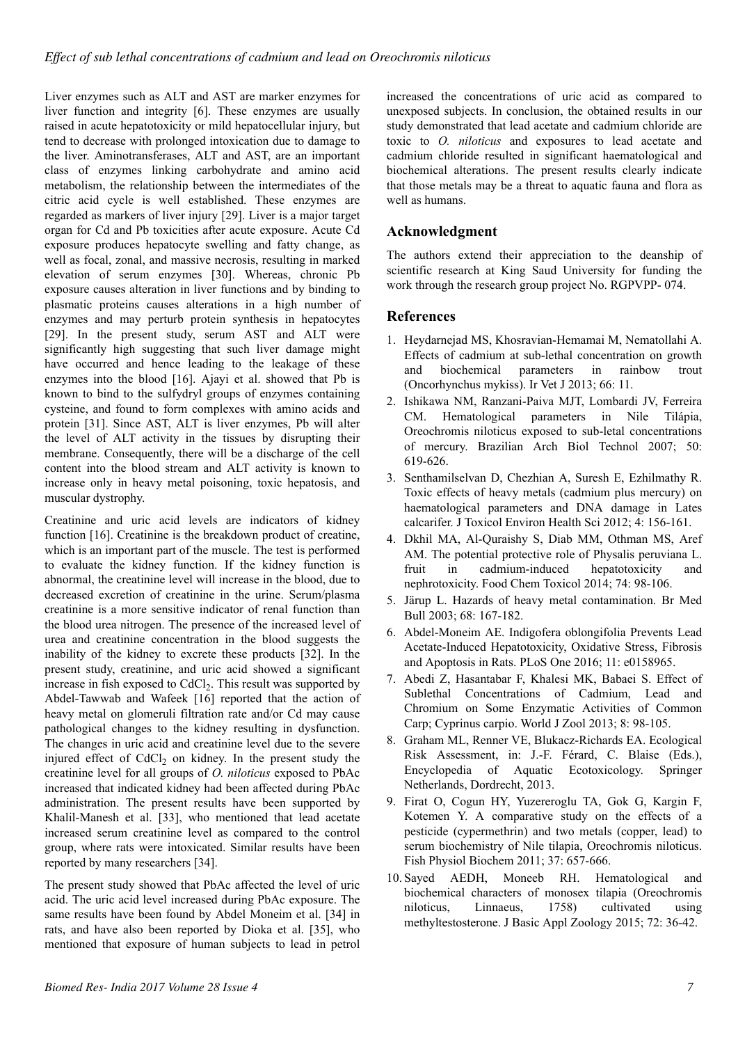Liver enzymes such as ALT and AST are marker enzymes for liver function and integrity [6]. These enzymes are usually raised in acute hepatotoxicity or mild hepatocellular injury, but tend to decrease with prolonged intoxication due to damage to the liver. Aminotransferases, ALT and AST, are an important class of enzymes linking carbohydrate and amino acid metabolism, the relationship between the intermediates of the citric acid cycle is well established. These enzymes are regarded as markers of liver injury [29]. Liver is a major target organ for Cd and Pb toxicities after acute exposure. Acute Cd exposure produces hepatocyte swelling and fatty change, as well as focal, zonal, and massive necrosis, resulting in marked elevation of serum enzymes [30]. Whereas, chronic Pb exposure causes alteration in liver functions and by binding to plasmatic proteins causes alterations in a high number of enzymes and may perturb protein synthesis in hepatocytes [29]. In the present study, serum AST and ALT were significantly high suggesting that such liver damage might have occurred and hence leading to the leakage of these enzymes into the blood [16]. Ajayi et al. showed that Pb is known to bind to the sulfydryl groups of enzymes containing cysteine, and found to form complexes with amino acids and protein [31]. Since AST, ALT is liver enzymes, Pb will alter the level of ALT activity in the tissues by disrupting their membrane. Consequently, there will be a discharge of the cell content into the blood stream and ALT activity is known to increase only in heavy metal poisoning, toxic hepatosis, and muscular dystrophy.

Creatinine and uric acid levels are indicators of kidney function [16]. Creatinine is the breakdown product of creatine, which is an important part of the muscle. The test is performed to evaluate the kidney function. If the kidney function is abnormal, the creatinine level will increase in the blood, due to decreased excretion of creatinine in the urine. Serum/plasma creatinine is a more sensitive indicator of renal function than the blood urea nitrogen. The presence of the increased level of urea and creatinine concentration in the blood suggests the inability of the kidney to excrete these products [32]. In the present study, creatinine, and uric acid showed a significant increase in fish exposed to CdCl<sub>2</sub>. This result was supported by Abdel-Tawwab and Wafeek [16] reported that the action of heavy metal on glomeruli filtration rate and/or Cd may cause pathological changes to the kidney resulting in dysfunction. The changes in uric acid and creatinine level due to the severe injured effect of  $CdCl<sub>2</sub>$  on kidney. In the present study the creatinine level for all groups of *O. niloticus* exposed to PbAc increased that indicated kidney had been affected during PbAc administration. The present results have been supported by Khalil-Manesh et al. [33], who mentioned that lead acetate increased serum creatinine level as compared to the control group, where rats were intoxicated. Similar results have been reported by many researchers [34].

The present study showed that PbAc affected the level of uric acid. The uric acid level increased during PbAc exposure. The same results have been found by Abdel Moneim et al. [34] in rats, and have also been reported by Dioka et al. [35], who mentioned that exposure of human subjects to lead in petrol

increased the concentrations of uric acid as compared to unexposed subjects. In conclusion, the obtained results in our study demonstrated that lead acetate and cadmium chloride are toxic to *O. niloticus* and exposures to lead acetate and cadmium chloride resulted in significant haematological and biochemical alterations. The present results clearly indicate that those metals may be a threat to aquatic fauna and flora as well as humans.

# **Acknowledgment**

The authors extend their appreciation to the deanship of scientific research at King Saud University for funding the work through the research group project No. RGPVPP- 074.

# **References**

- 1. Heydarnejad MS, Khosravian-Hemamai M, Nematollahi A. Effects of cadmium at sub-lethal concentration on growth and biochemical parameters in rainbow trout (Oncorhynchus mykiss). Ir Vet J 2013; 66: 11.
- 2. Ishikawa NM, Ranzani-Paiva MJT, Lombardi JV, Ferreira CM. Hematological parameters in Nile Tilápia, Oreochromis niloticus exposed to sub-letal concentrations of mercury. Brazilian Arch Biol Technol 2007; 50: 619-626.
- 3. Senthamilselvan D, Chezhian A, Suresh E, Ezhilmathy R. Toxic effects of heavy metals (cadmium plus mercury) on haematological parameters and DNA damage in Lates calcarifer. J Toxicol Environ Health Sci 2012; 4: 156-161.
- 4. Dkhil MA, Al-Quraishy S, Diab MM, Othman MS, Aref AM. The potential protective role of Physalis peruviana L. fruit in cadmium-induced hepatotoxicity and nephrotoxicity. Food Chem Toxicol 2014; 74: 98-106.
- 5. Järup L. Hazards of heavy metal contamination. Br Med Bull 2003; 68: 167-182.
- 6. Abdel-Moneim AE. Indigofera oblongifolia Prevents Lead Acetate-Induced Hepatotoxicity, Oxidative Stress, Fibrosis and Apoptosis in Rats. PLoS One 2016; 11: e0158965.
- 7. Abedi Z, Hasantabar F, Khalesi MK, Babaei S. Effect of Sublethal Concentrations of Cadmium, Lead and Chromium on Some Enzymatic Activities of Common Carp; Cyprinus carpio. World J Zool 2013; 8: 98-105.
- 8. Graham ML, Renner VE, Blukacz-Richards EA. Ecological Risk Assessment, in: J.-F. Férard, C. Blaise (Eds.), Encyclopedia of Aquatic Ecotoxicology. Springer Netherlands, Dordrecht, 2013.
- 9. Firat O, Cogun HY, Yuzereroglu TA, Gok G, Kargin F, Kotemen Y. A comparative study on the effects of a pesticide (cypermethrin) and two metals (copper, lead) to serum biochemistry of Nile tilapia, Oreochromis niloticus. Fish Physiol Biochem 2011; 37: 657-666.
- 10.Sayed AEDH, Moneeb RH. Hematological and biochemical characters of monosex tilapia (Oreochromis niloticus, Linnaeus, 1758) cultivated using methyltestosterone. J Basic Appl Zoology 2015; 72: 36-42.